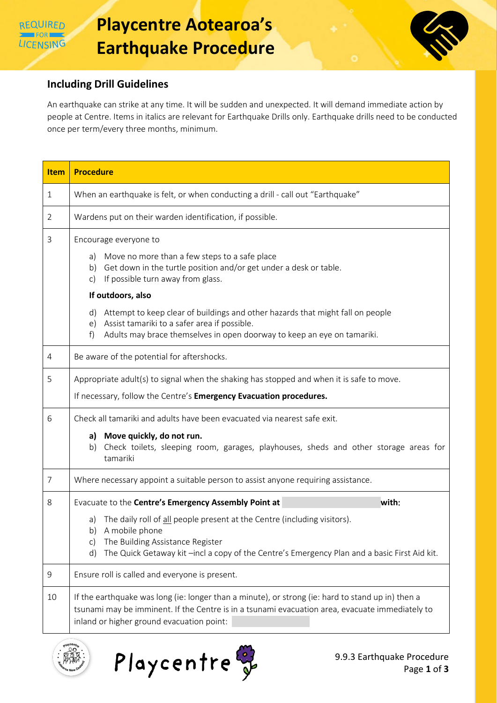

## **Including Drill Guidelines**

An earthquake can strike at any time. It will be sudden and unexpected. It will demand immediate action by people at Centre. Items in italics are relevant for Earthquake Drills only. Earthquake drills need to be conducted once per term/every three months, minimum.

| <b>Item</b>    | <b>Procedure</b>                                                                                                                                                                                                                                  |
|----------------|---------------------------------------------------------------------------------------------------------------------------------------------------------------------------------------------------------------------------------------------------|
| $\mathbf{1}$   | When an earthquake is felt, or when conducting a drill - call out "Earthquake"                                                                                                                                                                    |
| $\overline{2}$ | Wardens put on their warden identification, if possible.                                                                                                                                                                                          |
| 3              | Encourage everyone to                                                                                                                                                                                                                             |
|                | Move no more than a few steps to a safe place<br>a)<br>b) Get down in the turtle position and/or get under a desk or table.<br>If possible turn away from glass.<br>C)                                                                            |
|                | If outdoors, also                                                                                                                                                                                                                                 |
|                | Attempt to keep clear of buildings and other hazards that might fall on people<br>d)<br>Assist tamariki to a safer area if possible.<br>e)<br>Adults may brace themselves in open doorway to keep an eye on tamariki.<br>f)                       |
|                |                                                                                                                                                                                                                                                   |
| 4              | Be aware of the potential for aftershocks.                                                                                                                                                                                                        |
| 5              | Appropriate adult(s) to signal when the shaking has stopped and when it is safe to move.                                                                                                                                                          |
|                | If necessary, follow the Centre's Emergency Evacuation procedures.                                                                                                                                                                                |
| 6              | Check all tamariki and adults have been evacuated via nearest safe exit.                                                                                                                                                                          |
|                | a) Move quickly, do not run.<br>Check toilets, sleeping room, garages, playhouses, sheds and other storage areas for<br>b)<br>tamariki                                                                                                            |
| $\overline{7}$ | Where necessary appoint a suitable person to assist anyone requiring assistance.                                                                                                                                                                  |
| 8              | Evacuate to the Centre's Emergency Assembly Point at<br>with:                                                                                                                                                                                     |
|                | The daily roll of all people present at the Centre (including visitors).<br>a)<br>A mobile phone<br>b)                                                                                                                                            |
|                | The Building Assistance Register<br>C)<br>The Quick Getaway kit -incl a copy of the Centre's Emergency Plan and a basic First Aid kit.<br>d)                                                                                                      |
| 9              | Ensure roll is called and everyone is present.                                                                                                                                                                                                    |
| 10             | If the earthquake was long (ie: longer than a minute), or strong (ie: hard to stand up in) then a<br>tsunami may be imminent. If the Centre is in a tsunami evacuation area, evacuate immediately to<br>inland or higher ground evacuation point: |

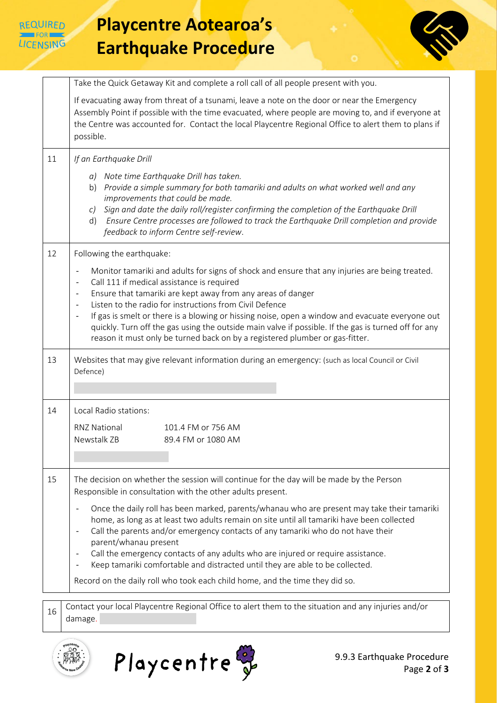

## **Playcentre Aotearoa's Earthquake Procedure**



|    | Take the Quick Getaway Kit and complete a roll call of all people present with you.                                                                                                                                                                                                                                                                                                                                                                                                                                                                                                                                                                                                                               |
|----|-------------------------------------------------------------------------------------------------------------------------------------------------------------------------------------------------------------------------------------------------------------------------------------------------------------------------------------------------------------------------------------------------------------------------------------------------------------------------------------------------------------------------------------------------------------------------------------------------------------------------------------------------------------------------------------------------------------------|
|    | If evacuating away from threat of a tsunami, leave a note on the door or near the Emergency<br>Assembly Point if possible with the time evacuated, where people are moving to, and if everyone at<br>the Centre was accounted for. Contact the local Playcentre Regional Office to alert them to plans if<br>possible.                                                                                                                                                                                                                                                                                                                                                                                            |
| 11 | If an Earthquake Drill                                                                                                                                                                                                                                                                                                                                                                                                                                                                                                                                                                                                                                                                                            |
|    | a) Note time Earthquake Drill has taken.<br>b) Provide a simple summary for both tamariki and adults on what worked well and any<br>improvements that could be made.<br>Sign and date the daily roll/register confirming the completion of the Earthquake Drill<br>C<br>Ensure Centre processes are followed to track the Earthquake Drill completion and provide<br>d)<br>feedback to inform Centre self-review.                                                                                                                                                                                                                                                                                                 |
| 12 | Following the earthquake:                                                                                                                                                                                                                                                                                                                                                                                                                                                                                                                                                                                                                                                                                         |
|    | Monitor tamariki and adults for signs of shock and ensure that any injuries are being treated.<br>$\overline{\phantom{a}}$<br>Call 111 if medical assistance is required<br>$\overline{\phantom{a}}$<br>Ensure that tamariki are kept away from any areas of danger<br>$\qquad \qquad \blacksquare$<br>Listen to the radio for instructions from Civil Defence<br>$\overline{\phantom{a}}$<br>If gas is smelt or there is a blowing or hissing noise, open a window and evacuate everyone out<br>$\overline{\phantom{a}}$<br>quickly. Turn off the gas using the outside main valve if possible. If the gas is turned off for any<br>reason it must only be turned back on by a registered plumber or gas-fitter. |
| 13 | Websites that may give relevant information during an emergency: (such as local Council or Civil<br>Defence)                                                                                                                                                                                                                                                                                                                                                                                                                                                                                                                                                                                                      |
| 14 | Local Radio stations:                                                                                                                                                                                                                                                                                                                                                                                                                                                                                                                                                                                                                                                                                             |
|    | <b>RNZ National</b><br>101.4 FM or 756 AM                                                                                                                                                                                                                                                                                                                                                                                                                                                                                                                                                                                                                                                                         |
|    | Newstalk ZB<br>89.4 FM or 1080 AM                                                                                                                                                                                                                                                                                                                                                                                                                                                                                                                                                                                                                                                                                 |
|    |                                                                                                                                                                                                                                                                                                                                                                                                                                                                                                                                                                                                                                                                                                                   |
| 15 | The decision on whether the session will continue for the day will be made by the Person<br>Responsible in consultation with the other adults present.                                                                                                                                                                                                                                                                                                                                                                                                                                                                                                                                                            |
|    | Once the daily roll has been marked, parents/whanau who are present may take their tamariki<br>$\qquad \qquad \blacksquare$<br>home, as long as at least two adults remain on site until all tamariki have been collected<br>Call the parents and/or emergency contacts of any tamariki who do not have their<br>$\overline{\phantom{a}}$<br>parent/whanau present<br>Call the emergency contacts of any adults who are injured or require assistance.<br>$\qquad \qquad \blacksquare$<br>Keep tamariki comfortable and distracted until they are able to be collected.<br>$\overline{\phantom{a}}$<br>Record on the daily roll who took each child home, and the time they did so.                               |
|    |                                                                                                                                                                                                                                                                                                                                                                                                                                                                                                                                                                                                                                                                                                                   |
| 16 | Contact your local Playcentre Regional Office to alert them to the situation and any injuries and/or                                                                                                                                                                                                                                                                                                                                                                                                                                                                                                                                                                                                              |

damage.